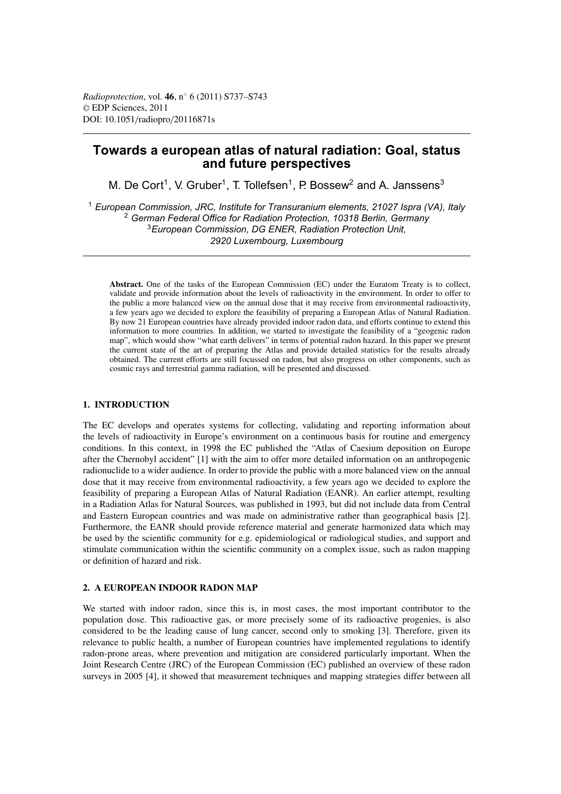# **Towards a european atlas of natural radiation: Goal, status and future perspectives**

M. De Cort<sup>1</sup>, V. Gruber<sup>1</sup>, T. Tollefsen<sup>1</sup>, P. Bossew<sup>2</sup> and A. Janssens<sup>3</sup>

 *European Commission, JRC, Institute for Transuranium elements, 21027 Ispra (VA), Italy German Federal Office for Radiation Protection, 10318 Berlin, Germany European Commission, DG ENER, Radiation Protection Unit, 2920 Luxembourg, Luxembourg*

**Abstract.** One of the tasks of the European Commission (EC) under the Euratom Treaty is to collect, validate and provide information about the levels of radioactivity in the environment. In order to offer to the public a more balanced view on the annual dose that it may receive from environmental radioactivity, a few years ago we decided to explore the feasibility of preparing a European Atlas of Natural Radiation. By now 21 European countries have already provided indoor radon data, and efforts continue to extend this information to more countries. In addition, we started to investigate the feasibility of a "geogenic radon map", which would show "what earth delivers" in terms of potential radon hazard. In this paper we present the current state of the art of preparing the Atlas and provide detailed statistics for the results already obtained. The current efforts are still focussed on radon, but also progress on other components, such as cosmic rays and terrestrial gamma radiation, will be presented and discussed.

# **1. INTRODUCTION**

The EC develops and operates systems for collecting, validating and reporting information about the levels of radioactivity in Europe's environment on a continuous basis for routine and emergency conditions. In this context, in 1998 the EC published the "Atlas of Caesium deposition on Europe after the Chernobyl accident" [1] with the aim to offer more detailed information on an anthropogenic radionuclide to a wider audience. In order to provide the public with a more balanced view on the annual dose that it may receive from environmental radioactivity, a few years ago we decided to explore the feasibility of preparing a European Atlas of Natural Radiation (EANR). An earlier attempt, resulting in a Radiation Atlas for Natural Sources, was published in 1993, but did not include data from Central and Eastern European countries and was made on administrative rather than geographical basis [2]. Furthermore, the EANR should provide reference material and generate harmonized data which may be used by the scientific community for e.g. epidemiological or radiological studies, and support and stimulate communication within the scientific community on a complex issue, such as radon mapping or definition of hazard and risk.

# **2. A EUROPEAN INDOOR RADON MAP**

We started with indoor radon, since this is, in most cases, the most important contributor to the population dose. This radioactive gas, or more precisely some of its radioactive progenies, is also considered to be the leading cause of lung cancer, second only to smoking [3]. Therefore, given its relevance to public health, a number of European countries have implemented regulations to identify radon-prone areas, where prevention and mitigation are considered particularly important. When the Joint Research Centre (JRC) of the European Commission (EC) published an overview of these radon surveys in 2005 [4], it showed that measurement techniques and mapping strategies differ between all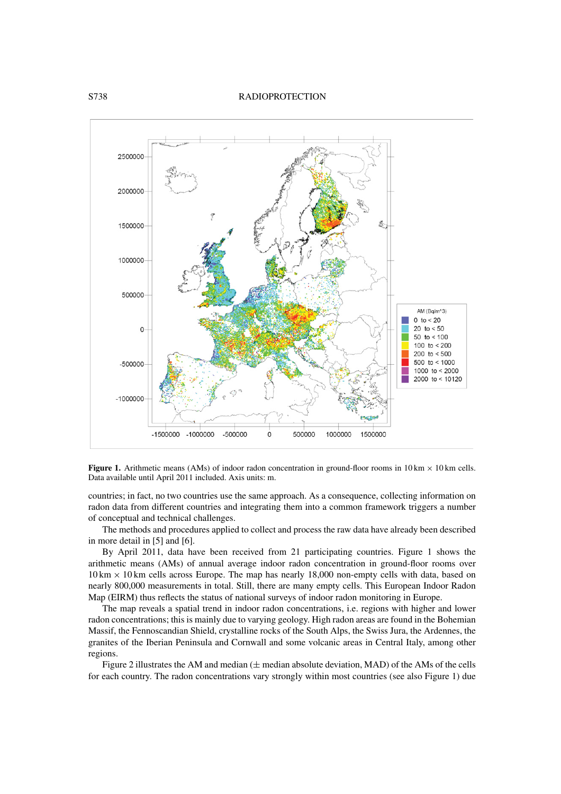

**Figure 1.** Arithmetic means (AMs) of indoor radon concentration in ground-floor rooms in  $10 \text{ km} \times 10 \text{ km}$  cells. Data available until April 2011 included. Axis units: m.

countries; in fact, no two countries use the same approach. As a consequence, collecting information on radon data from different countries and integrating them into a common framework triggers a number of conceptual and technical challenges.

The methods and procedures applied to collect and process the raw data have already been described in more detail in [5] and [6].

By April 2011, data have been received from 21 participating countries. Figure 1 shows the arithmetic means (AMs) of annual average indoor radon concentration in ground-floor rooms over  $10 \text{ km } \times 10 \text{ km}$  cells across Europe. The map has nearly 18,000 non-empty cells with data, based on nearly 800,000 measurements in total. Still, there are many empty cells. This European Indoor Radon Map (EIRM) thus reflects the status of national surveys of indoor radon monitoring in Europe.

The map reveals a spatial trend in indoor radon concentrations, i.e. regions with higher and lower radon concentrations; this is mainly due to varying geology. High radon areas are found in the Bohemian Massif, the Fennoscandian Shield, crystalline rocks of the South Alps, the Swiss Jura, the Ardennes, the granites of the Iberian Peninsula and Cornwall and some volcanic areas in Central Italy, among other regions.

Figure 2 illustrates the AM and median  $(\pm$  median absolute deviation, MAD) of the AMs of the cells for each country. The radon concentrations vary strongly within most countries (see also Figure 1) due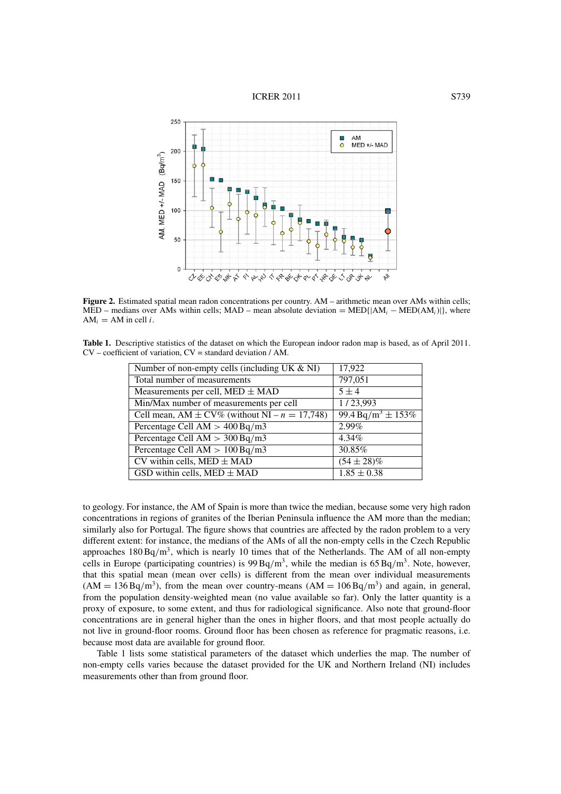



**Figure 2.** Estimated spatial mean radon concentrations per country. AM – arithmetic mean over AMs within cells; MED – medians over AMs within cells; MAD – mean absolute deviation = MED{ $|AM_i - MED(AM_i)|$ }, where  $AM_i = AM$  in cell *i*.

**Table 1.** Descriptive statistics of the dataset on which the European indoor radon map is based, as of April 2011. CV – coefficient of variation, CV = standard deviation / AM.

| 17,922                                    |
|-------------------------------------------|
| 797,051                                   |
| $5\pm4$                                   |
| 1/23,993                                  |
| $\frac{99.4 \text{ Bq/m}^3 \pm 153\%}{2}$ |
| 2.99%                                     |
| 4.34%                                     |
| 30.85%                                    |
| $(54 \pm 28)\%$                           |
| $1.85 \pm 0.38$                           |
|                                           |

to geology. For instance, the AM of Spain is more than twice the median, because some very high radon concentrations in regions of granites of the Iberian Peninsula influence the AM more than the median; similarly also for Portugal. The figure shows that countries are affected by the radon problem to a very different extent: for instance, the medians of the AMs of all the non-empty cells in the Czech Republic approaches  $180 \text{ Bq/m}^3$ , which is nearly 10 times that of the Netherlands. The AM of all non-empty cells in Europe (participating countries) is  $99 Bq/m<sup>3</sup>$ , while the median is  $65 Bq/m<sup>3</sup>$ . Note, however, that this spatial mean (mean over cells) is different from the mean over individual measurements  $(AM = 136 Bq/m<sup>3</sup>)$ , from the mean over country-means  $(AM = 106 Bq/m<sup>3</sup>)$  and again, in general, from the population density-weighted mean (no value available so far). Only the latter quantity is a proxy of exposure, to some extent, and thus for radiological significance. Also note that ground-floor concentrations are in general higher than the ones in higher floors, and that most people actually do not live in ground-floor rooms. Ground floor has been chosen as reference for pragmatic reasons, i.e. because most data are available for ground floor.

Table 1 lists some statistical parameters of the dataset which underlies the map. The number of non-empty cells varies because the dataset provided for the UK and Northern Ireland (NI) includes measurements other than from ground floor.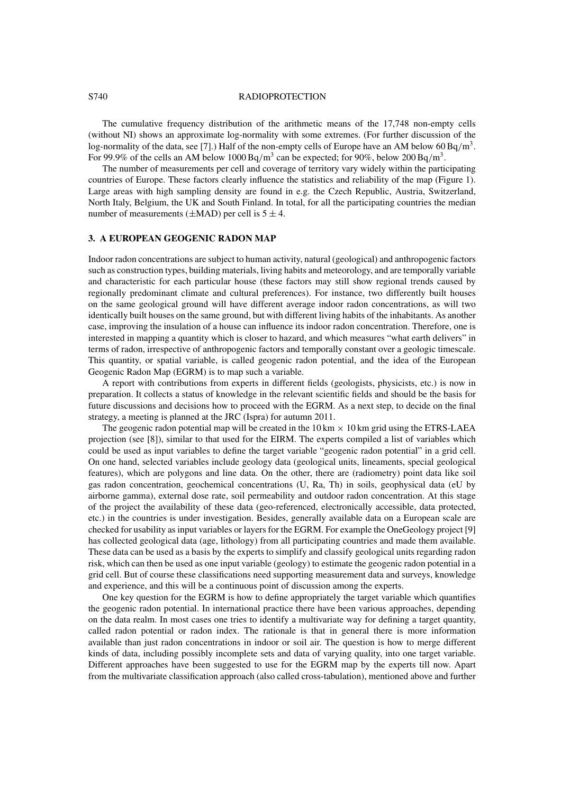### S740 RADIOPROTECTION

The cumulative frequency distribution of the arithmetic means of the 17,748 non-empty cells (without NI) shows an approximate log-normality with some extremes. (For further discussion of the log-normality of the data, see [7].) Half of the non-empty cells of Europe have an AM below 60 Bq/m<sup>3</sup>. For 99.9% of the cells an AM below 1000 Bq/m<sup>3</sup> can be expected; for 90%, below 200 Bq/m<sup>3</sup>.

The number of measurements per cell and coverage of territory vary widely within the participating countries of Europe. These factors clearly influence the statistics and reliability of the map (Figure 1). Large areas with high sampling density are found in e.g. the Czech Republic, Austria, Switzerland, North Italy, Belgium, the UK and South Finland. In total, for all the participating countries the median number of measurements ( $\pm$ MAD) per cell is  $5 \pm 4$ .

### **3. A EUROPEAN GEOGENIC RADON MAP**

Indoor radon concentrations are subject to human activity, natural (geological) and anthropogenic factors such as construction types, building materials, living habits and meteorology, and are temporally variable and characteristic for each particular house (these factors may still show regional trends caused by regionally predominant climate and cultural preferences). For instance, two differently built houses on the same geological ground will have different average indoor radon concentrations, as will two identically built houses on the same ground, but with different living habits of the inhabitants. As another case, improving the insulation of a house can influence its indoor radon concentration. Therefore, one is interested in mapping a quantity which is closer to hazard, and which measures "what earth delivers" in terms of radon, irrespective of anthropogenic factors and temporally constant over a geologic timescale. This quantity, or spatial variable, is called geogenic radon potential, and the idea of the European Geogenic Radon Map (EGRM) is to map such a variable.

A report with contributions from experts in different fields (geologists, physicists, etc.) is now in preparation. It collects a status of knowledge in the relevant scientific fields and should be the basis for future discussions and decisions how to proceed with the EGRM. As a next step, to decide on the final strategy, a meeting is planned at the JRC (Ispra) for autumn 2011.

The geogenic radon potential map will be created in the  $10 \text{ km} \times 10 \text{ km}$  grid using the ETRS-LAEA projection (see [8]), similar to that used for the EIRM. The experts compiled a list of variables which could be used as input variables to define the target variable "geogenic radon potential" in a grid cell. On one hand, selected variables include geology data (geological units, lineaments, special geological features), which are polygons and line data. On the other, there are (radiometry) point data like soil gas radon concentration, geochemical concentrations (U, Ra, Th) in soils, geophysical data (eU by airborne gamma), external dose rate, soil permeability and outdoor radon concentration. At this stage of the project the availability of these data (geo-referenced, electronically accessible, data protected, etc.) in the countries is under investigation. Besides, generally available data on a European scale are checked for usability as input variables or layers for the EGRM. For example the OneGeology project [9] has collected geological data (age, lithology) from all participating countries and made them available. These data can be used as a basis by the experts to simplify and classify geological units regarding radon risk, which can then be used as one input variable (geology) to estimate the geogenic radon potential in a grid cell. But of course these classifications need supporting measurement data and surveys, knowledge and experience, and this will be a continuous point of discussion among the experts.

One key question for the EGRM is how to define appropriately the target variable which quantifies the geogenic radon potential. In international practice there have been various approaches, depending on the data realm. In most cases one tries to identify a multivariate way for defining a target quantity, called radon potential or radon index. The rationale is that in general there is more information available than just radon concentrations in indoor or soil air. The question is how to merge different kinds of data, including possibly incomplete sets and data of varying quality, into one target variable. Different approaches have been suggested to use for the EGRM map by the experts till now. Apart from the multivariate classification approach (also called cross-tabulation), mentioned above and further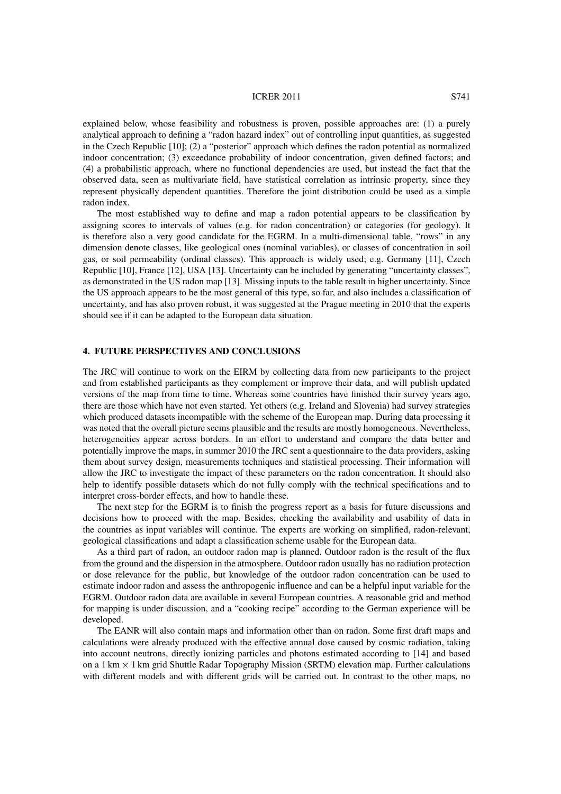### **ICRER 2011** S741

explained below, whose feasibility and robustness is proven, possible approaches are: (1) a purely analytical approach to defining a "radon hazard index" out of controlling input quantities, as suggested in the Czech Republic [10]; (2) a "posterior" approach which defines the radon potential as normalized indoor concentration; (3) exceedance probability of indoor concentration, given defined factors; and (4) a probabilistic approach, where no functional dependencies are used, but instead the fact that the observed data, seen as multivariate field, have statistical correlation as intrinsic property, since they represent physically dependent quantities. Therefore the joint distribution could be used as a simple radon index.

The most established way to define and map a radon potential appears to be classification by assigning scores to intervals of values (e.g. for radon concentration) or categories (for geology). It is therefore also a very good candidate for the EGRM. In a multi-dimensional table, "rows" in any dimension denote classes, like geological ones (nominal variables), or classes of concentration in soil gas, or soil permeability (ordinal classes). This approach is widely used; e.g. Germany [11], Czech Republic [10], France [12], USA [13]. Uncertainty can be included by generating "uncertainty classes", as demonstrated in the US radon map [13]. Missing inputs to the table result in higher uncertainty. Since the US approach appears to be the most general of this type, so far, and also includes a classification of uncertainty, and has also proven robust, it was suggested at the Prague meeting in 2010 that the experts should see if it can be adapted to the European data situation.

# **4. FUTURE PERSPECTIVES AND CONCLUSIONS**

The JRC will continue to work on the EIRM by collecting data from new participants to the project and from established participants as they complement or improve their data, and will publish updated versions of the map from time to time. Whereas some countries have finished their survey years ago, there are those which have not even started. Yet others (e.g. Ireland and Slovenia) had survey strategies which produced datasets incompatible with the scheme of the European map. During data processing it was noted that the overall picture seems plausible and the results are mostly homogeneous. Nevertheless, heterogeneities appear across borders. In an effort to understand and compare the data better and potentially improve the maps, in summer 2010 the JRC sent a questionnaire to the data providers, asking them about survey design, measurements techniques and statistical processing. Their information will allow the JRC to investigate the impact of these parameters on the radon concentration. It should also help to identify possible datasets which do not fully comply with the technical specifications and to interpret cross-border effects, and how to handle these.

The next step for the EGRM is to finish the progress report as a basis for future discussions and decisions how to proceed with the map. Besides, checking the availability and usability of data in the countries as input variables will continue. The experts are working on simplified, radon-relevant, geological classifications and adapt a classification scheme usable for the European data.

As a third part of radon, an outdoor radon map is planned. Outdoor radon is the result of the flux from the ground and the dispersion in the atmosphere. Outdoor radon usually has no radiation protection or dose relevance for the public, but knowledge of the outdoor radon concentration can be used to estimate indoor radon and assess the anthropogenic influence and can be a helpful input variable for the EGRM. Outdoor radon data are available in several European countries. A reasonable grid and method for mapping is under discussion, and a "cooking recipe" according to the German experience will be developed.

The EANR will also contain maps and information other than on radon. Some first draft maps and calculations were already produced with the effective annual dose caused by cosmic radiation, taking into account neutrons, directly ionizing particles and photons estimated according to [14] and based on a  $1 \text{ km } \times 1 \text{ km}$  grid Shuttle Radar Topography Mission (SRTM) elevation map. Further calculations with different models and with different grids will be carried out. In contrast to the other maps, no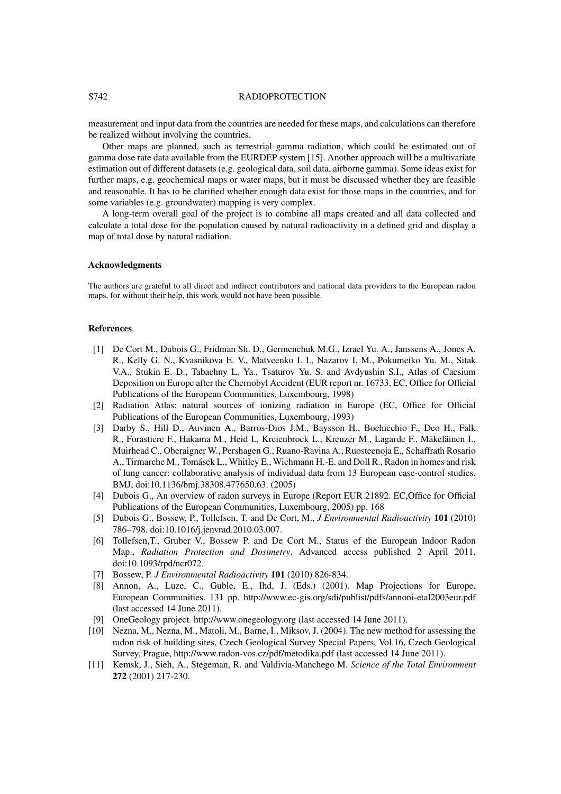### S742 RADIOPROTECTION

measurement and input data from the countries are needed for these maps, and calculations can therefore be realized without involving the countries.

Other maps are planned, such as terrestrial gamma radiation, which could be estimated out of gamma dose rate data available from the EURDEP system [15]. Another approach will be a multivariate estimation out of different datasets (e.g. geological data, soil data, airborne gamma). Some ideas exist for further maps, e.g. geochemical maps or water maps, but it must be discussed whether they are feasible and reasonable. It has to be clarified whether enough data exist for those maps in the countries, and for some variables (e.g. groundwater) mapping is very complex.

A long-term overall goal of the project is to combine all maps created and all data collected and calculate a total dose for the population caused by natural radioactivity in a defined grid and display a map of total dose by natural radiation.

### **Acknowledgments**

The authors are grateful to all direct and indirect contributors and national data providers to the European radon maps, for without their help, this work would not have been possible.

# **References**

- [1] De Cort M., Dubois G., Fridman Sh. D., Germenchuk M.G., Izrael Yu. A., Janssens A., Jones A. R., Kelly G. N., Kvasnikova E. V., Matveenko I. I., Nazarov I. M., Pokumeiko Yu. M., Sitak V.A., Stukin E. D., Tabachny L. Ya., Tsaturov Yu. S. and Avdyushin S.I., Atlas of Caesium Deposition on Europe after the Chernobyl Accident (EUR report nr. 16733, EC, Office for Official Publications of the European Communities, Luxembourg, 1998)
- [2] Radiation Atlas: natural sources of ionizing radiation in Europe (EC, Office for Official Publications of the European Communities, Luxembourg, 1993)
- [3] Darby S., Hill D., Auvinen A., Barros-Dios J.M., Baysson H., Bochicchio F., Deo H., Falk R., Forastiere F., Hakama M., Heid I., Kreienbrock L., Kreuzer M., Lagarde F., Mäkeläinen I., Muirhead C., Oberaigner W., Pershagen G., Ruano-Ravina A., Ruosteenoja E., Schaffrath Rosario A., Tirmarche M., Tomásek L., Whitley E., Wichmann H.-E. and Doll R., Radon in homes and risk of lung cancer: collaborative analysis of individual data from 13 European case-control studies. BMJ, doi:10.1136/bmj.38308.477650.63. (2005)
- [4] Dubois G., An overview of radon surveys in Europe (Report EUR 21892. EC,Office for Official Publications of the European Communities, Luxembourg, 2005) pp. 168
- [5] Dubois G., Bossew, P., Tollefsen, T. and De Cort, M., *J Environmental Radioactivity* **101** (2010) 786–798. doi:10.1016/j.jenvrad.2010.03.007.
- [6] Tollefsen,T., Gruber V., Bossew P. and De Cort M., Status of the European Indoor Radon Map., *Radiation Protection and Dosimetry*. Advanced access published 2 April 2011. doi:10.1093/rpd/ncr072.
- [7] Bossew, P. *J Environmental Radioactivity* **101** (2010) 826-834.
- [8] Annon, A., Luze, C., Guble, E., Ihd, J. (Eds.) (2001). Map Projections for Europe. European Communities. 131 pp. http://www.ec-gis.org/sdi/publist/pdfs/annoni-etal2003eur.pdf (last accessed 14 June 2011).
- [9] OneGeology project. http://www.onegeology.org (last accessed 14 June 2011).
- [10] Nezna, M., Nezna, M., Matoli, M., Barne, I., Miksov, J. (2004). The new method for assessing the radon risk of building sites, Czech Geological Survey Special Papers, Vol.16, Czech Geological Survey, Prague, http://www.radon-vos.cz/pdf/metodika.pdf (last accessed 14 June 2011).
- [11] Kemsk, J., Sieh, A., Stegeman, R. and Valdivia-Manchego M. *Science of the Total Environment* **272** (2001) 217-230.